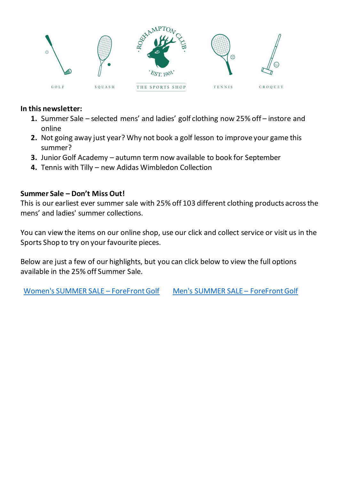

#### **In this newsletter:**

- **1.** Summer Sale selected mens' and ladies' golf clothing now 25% off instore and online
- **2.** Not going away just year? Why not book a golf lesson to improve your game this summer?
- **3.** Junior Golf Academy autumn term now available to book for September
- **4.** Tennis with Tilly new Adidas Wimbledon Collection

## **Summer Sale – Don't Miss Out!**

This is our earliest ever summer sale with 25% off 103 different clothing products across the mens' and ladies' summer collections.

You can view the items on our online shop, use our click and collect service or visit us in the Sports Shop to try on your favourite pieces.

Below are just a few of our highlights, but you can click below to view the full options available in the 25% off Summer Sale.

[Women's SUMMER SALE](https://forefrontgolf.co.uk/collections/womens-summer-sale) – ForeFront Golf [Men's SUMMER SALE](https://forefrontgolf.co.uk/collections/mens-summer-sale) – ForeFront Golf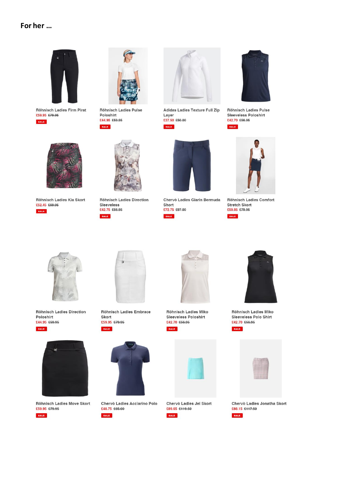#### For her ...



Röhnisch Ladies Firm Pirat £59.95 £79.95 SALE



Röhnisch Ladies Pulse Poloshirt £44.95 £59.95 SALE



Adidas Ladies Texture Full Zip Layer £37.50 £50.00 SALE



Röhnisch Ladies Pulse Sleeveless Poloshirt £42.70 £56.95



SALE



Röhnisch Ladies Comfort **Stretch Skort** £59.95 £79.95



Röhnisch Ladies Direction Poloshirt £44.95 £59.95





Röhnisch Ladies Move Skort £59.95 £79.95





Röhnisch Ladies Embrace Skort £59.95 £79.95 SALE



SALE

Chervò Ladies Acciarino Polo £48.75 £65.00



Chervò Ladies Giarin Bermuda

Short

SALE

£72.75 £97.00

Röhnisch Ladies Miko Sleeveless Poloshirt £42.70 £56.95 SALE



Chervò Ladies Jel Skort £89.65 £119.50





Röhnisch Ladies Miko Sleeveless Polo Shirt £42.70 £56.95



Chervò Ladies Jonatha Skort £88.15 £117.50





Röhnisch Ladies Kia Skort £52.45 £69.95 **SALE** 

**Röhnisch Ladies Direction** Sleeveless £42.75 £56.95 SALE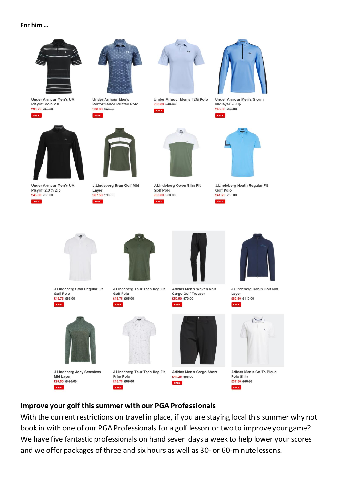#### For him ...



**Under Armour Men's UA** Playoff Polo 2.0 £33.75 £45.00 SALE





Under Armour Men's

**Performance Printed Polo** 

Under Armour Men's UA Playoff 2.0 1/4 Zip £45.00 £60.00 **SALE** 



J.Lindeberg Bran Golf Mid Layer £67.50 £90.00



Under Armour Men's T2G Polo £30.00 £40.00 **SALE** 

 $=$ 

J.Lindeberg Owen Slim Fit

Golf Polo

£60.00 £80.00



**Under Armour Men's Storm** Midlayer 1/2 Zip £45.00 £60.00 SALE



J.Lindeberg Heath Regular Fit **Golf Polo** £41.25 £55.00



J.Lindeberg Stan Regular Fit **Golf Polo** £48.75 £65.00



J.Lindeberg Joey Seamless Mid Layer £97.50 £130.00 SALE

J.Lindeberg Tour Tech Reg Fit **Golf Polo** £48.75 £65.00

J.Lindeberg Tour Tech Reg Fit







Adidas Men's Cargo Short £41.25 £55.00 **SALE** 



J.Lindeberg Robin Golf Mid Layer £82.50 £110.00







## Improve your golf this summer with our PGA Professionals

SALE

Print Polo

£48.75 £65.00

**SALE** 

With the current restrictions on travel in place, if you are staying local this summer why not book in with one of our PGA Professionals for a golf lesson or two to improve your game? We have five fantastic professionals on hand seven days a week to help lower your scores and we offer packages of three and six hours as well as 30- or 60-minute lessons.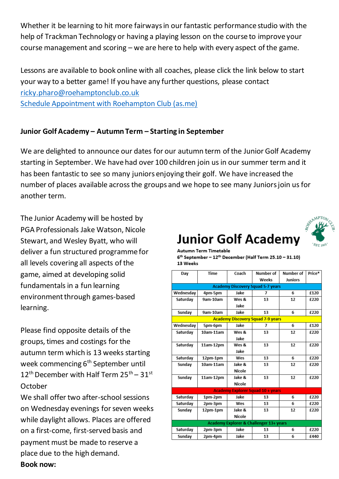Whether it be learning to hit more fairways in our fantastic performance studio with the help of Trackman Technology or having a playing lesson on the course to improve your course management and scoring – we are here to help with every aspect of the game.

Lessons are available to book online with all coaches, please click the link below to start your way to a better game! If you have any further questions, please contact [ricky.pharo@roehamptonclub.co.uk](mailto:ricky.pharo@roehamptonclub.co.uk) [Schedule Appointment with Roehampton Club \(as.me\)](https://roehamptonclub.as.me/schedule.php)

## **Junior Golf Academy – Autumn Term – Starting in September**

We are delighted to announce our dates for our autumn term of the Junior Golf Academy starting in September. We have had over 100 children join us in our summer term and it has been fantastic to see so many juniors enjoying their golf. We have increased the number of places available across the groups and we hope to see many Juniors join us for another term.

The Junior Academy will be hosted by PGA Professionals Jake Watson, Nicole Stewart, and Wesley Byatt, who will deliver a fun structured programme for all levels covering all aspects of the game, aimed at developing solid fundamentals in a fun learning environment through games-based learning.

Please find opposite details of the groups, times and costings for the autumn term which is 13 weeks starting week commencing 6<sup>th</sup> September until  $12^{\text{th}}$  December with Half Term  $25^{\text{th}} - 31^{\text{st}}$ October

We shall offer two after-school sessions on Wednesday evenings for seven weeks while daylight allows. Places are offered on a first-come, first-served basis and payment must be made to reserve a place due to the high demand. **Book now:** 

# **Junior Golf Academy**



| Autumn Term Timetable                                                 |
|-----------------------------------------------------------------------|
| $6th$ September – 12 <sup>th</sup> December (Half Term 25.10 – 31.10) |
| 13 Weeks                                                              |

|                                          | Time                                     | Coach  | Number of                                | <b>Number</b> of | Price* |  |  |
|------------------------------------------|------------------------------------------|--------|------------------------------------------|------------------|--------|--|--|
| Day                                      |                                          |        |                                          |                  |        |  |  |
|                                          |                                          |        | Weeks                                    | <b>Juniors</b>   |        |  |  |
| <b>Academy Discovery Squad 5-7 years</b> |                                          |        |                                          |                  |        |  |  |
| Wednesday                                | 4pm-5pm                                  | Jake   | 7                                        | 6                | £120   |  |  |
| Saturday                                 | 9am-10am                                 | Wes &  | 13                                       | 12               | £220   |  |  |
|                                          |                                          | Jake   |                                          |                  |        |  |  |
| Sunday                                   | 9am-10am                                 | Jake   | 13                                       | 6                | £220   |  |  |
|                                          | <b>Academy Discovery Squad 7-9 years</b> |        |                                          |                  |        |  |  |
| Wednesday                                | 5pm-6pm                                  | Jake   | 7                                        | 6                | £120   |  |  |
| Saturday                                 | $10am-11am$                              | Wes &  | 13                                       | 12               | £220   |  |  |
|                                          |                                          | lake   |                                          |                  |        |  |  |
| Saturday                                 | 11am-12pm                                | Wes &  | 13                                       | 12               | £220   |  |  |
|                                          |                                          | Jake   |                                          |                  |        |  |  |
| Saturday                                 | 12pm-1pm                                 | Wes    | 13                                       | 6                | £220   |  |  |
| Sunday                                   | $10am-11am$                              | Jake & | 13                                       | 12               | £220   |  |  |
|                                          |                                          | Nicole |                                          |                  |        |  |  |
| Sunday                                   | 11am-12pm                                | Jake & | 13                                       | 12               | £220   |  |  |
|                                          |                                          | Nicole |                                          |                  |        |  |  |
|                                          |                                          |        | <b>Academy Explorer Squad 10 + years</b> |                  |        |  |  |
| Saturday                                 | 1pm-2pm                                  | Jake   | 13                                       | 6                | £220   |  |  |
| Saturday                                 | 2pm-3pm                                  | Wes    | 13                                       | 6                | £220   |  |  |
| Sunday                                   | 12pm-1pm                                 | Jake & | 13                                       | 12               | £220   |  |  |
|                                          |                                          | Nicole |                                          |                  |        |  |  |
|                                          | Academy Explorer & Challenger 13+ years  |        |                                          |                  |        |  |  |
| Saturday                                 | 2pm-3pm                                  | Jake   | 13                                       | 6                | £220   |  |  |
| Sunday                                   | 2pm-4pm                                  | Jake   | 13                                       | 6                | £440   |  |  |